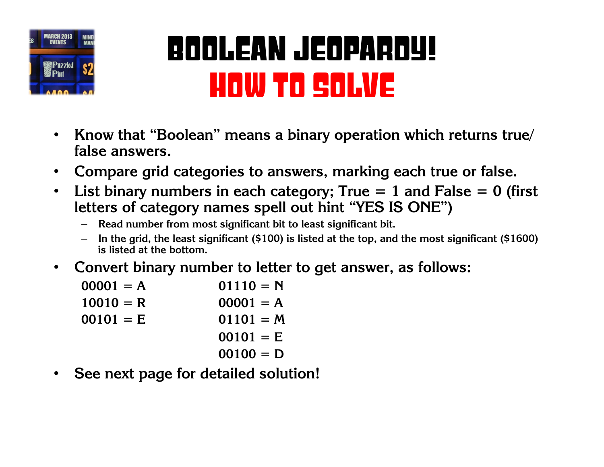

## Boolean Jeopardy! How to Solve

- **Know that "Boolean" means a binary operation which returns true/ false answers.**
- **Compare grid categories to answers, marking each true or false.**
- **List binary numbers in each category; True = 1 and False = 0 (first letters of category names spell out hint "YES IS ONE")**
	- **Read number from most significant bit to least significant bit.**
	- **In the grid, the least significant (\$100) is listed at the top, and the most significant (\$1600) is listed at the bottom.**
- **Convert binary number to letter to get answer, as follows:**

| $00001 = A$ | $01110 = N$ |
|-------------|-------------|
| $10010 = R$ | $00001 = A$ |
| $00101 = E$ | $01101 = M$ |
|             | $00101 = E$ |
|             | $00100 = D$ |
|             |             |

• **See next page for detailed solution!**